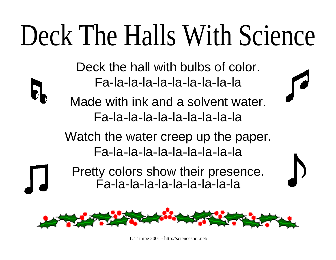## Deck The Halls With Science

Deck the hall with bulbs of color. Fa-la-la-la-la-la-la-la-la-la

Made with ink and a solvent water. Fa-la-la-la-la-la-la-la-la-la

Watch the water creep up the paper. Fa-la-la-la-la-la-la-la-la-la

Pretty colors show their presence. Fa-la-la-la-la-la-la-la-la-la



T. Trimpe 2001 - <http://sciencespot.net/>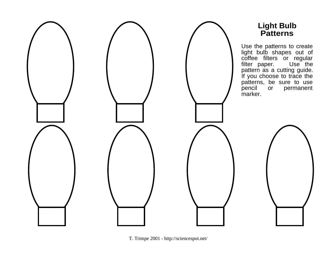

T. Trimpe 2001 - <http://sciencespot.net/>